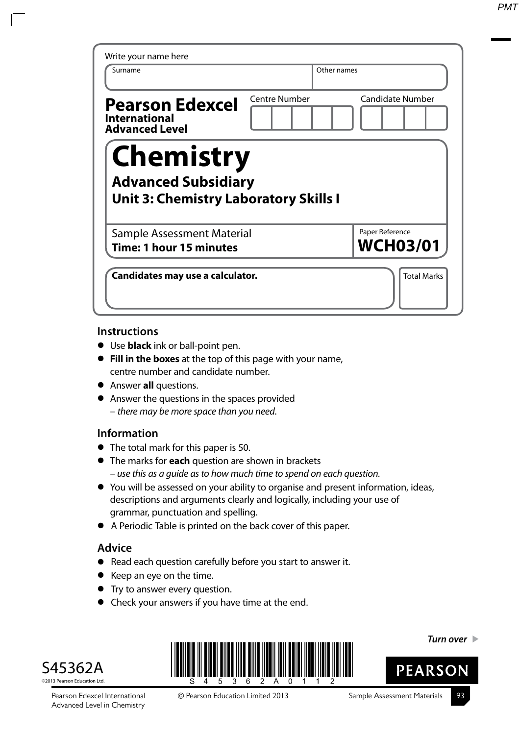| Write your name here                                                                           |                      |                                    |
|------------------------------------------------------------------------------------------------|----------------------|------------------------------------|
| Surname                                                                                        |                      | Other names                        |
| <b>Pearson Edexcel</b><br><b>International</b><br><b>Advanced Level</b>                        | <b>Centre Number</b> | Candidate Number                   |
| <b>Chemistry</b><br><b>Advanced Subsidiary</b><br><b>Unit 3: Chemistry Laboratory Skills I</b> |                      |                                    |
| Sample Assessment Material<br>Time: 1 hour 15 minutes                                          |                      | Paper Reference<br><b>WCH03/01</b> |
| Candidates may use a calculator.                                                               |                      | <b>Total Marks</b>                 |

### **Instructions**

- **t** Use **black** ink or ball-point pen.
- **Fill in the boxes** at the top of this page with your name, centre number and candidate number.
- **•** Answer **all** questions.
- **t** Answer the questions in the spaces provided
	- there may be more space than you need.

## **Information**

- **•** The total mark for this paper is 50.
- **t** The marks for **each** question are shown in brackets – use this as a guide as to how much time to spend on each question.
- **t** You will be assessed on your ability to organise and present information, ideas, descriptions and arguments clearly and logically, including your use of grammar, punctuation and spelling.
- **t** A Periodic Table is printed on the back cover of this paper.

# **Advice**

- **t** Read each question carefully before you start to answer it.
- **t** Keep an eye on the time.
- **•** Try to answer every question.
- **•** Check your answers if you have time at the end.





**Turn over** 

**PEARSON** 

Advanced Level in Chemistry

93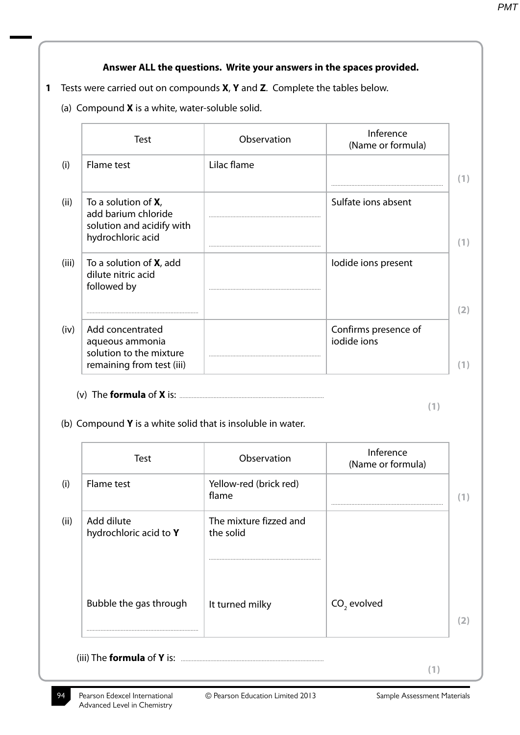### **Answer ALL the questions. Write your answers in the spaces provided.**

- **1** Tests were carried out on compounds **X**, **Y** and **Z**. Complete the tables below.
	- (a) Compound **X** is a white, water-soluble solid.

|       | <b>Test</b>                                                                                          | Observation | Inference<br>(Name or formula)      |
|-------|------------------------------------------------------------------------------------------------------|-------------|-------------------------------------|
| (i)   | Flame test                                                                                           | Lilac flame |                                     |
| (ii)  | To a solution of <b>X</b> ,<br>add barium chloride<br>solution and acidify with<br>hydrochloric acid |             | Sulfate ions absent                 |
| (iii) | To a solution of <b>X</b> , add<br>dilute nitric acid<br>followed by                                 |             | lodide ions present                 |
| (iv)  | Add concentrated<br>aqueous ammonia<br>solution to the mixture<br>remaining from test (iii)          |             | Confirms presence of<br>jodide jons |

(v) The **formula** of **X** is: .............................................................................................

**(1)**

(b) Compound **Y** is a white solid that is insoluble in water.

| Flame test                           |                                     |               |
|--------------------------------------|-------------------------------------|---------------|
|                                      | Yellow-red (brick red)<br>flame     |               |
| Add dilute<br>hydrochloric acid to Y | The mixture fizzed and<br>the solid |               |
|                                      |                                     |               |
| Bubble the gas through               | It turned milky                     | $CO2$ evolved |
|                                      |                                     |               |

#### (iii) The **formula** of **Y** is: ............................................................................................

**(1)**

94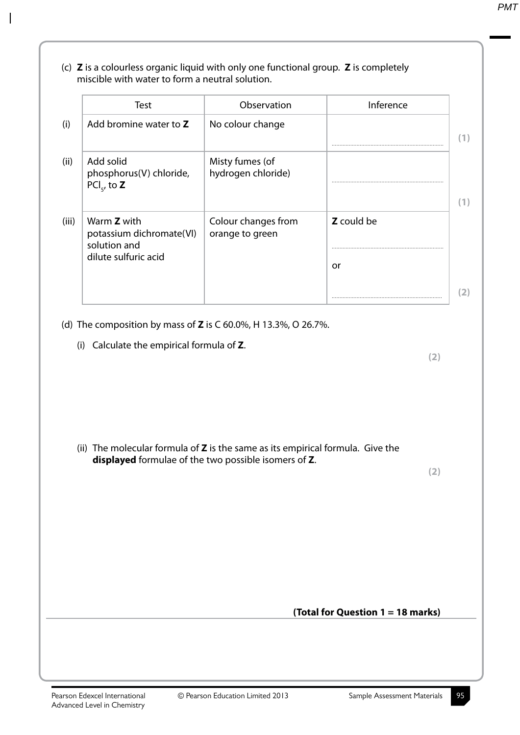(c) **Z** is a colourless organic liquid with only one functional group. **Z** is completely miscible with water to form a neutral solution.

|       | <b>Test</b>                                                                            | Observation                            | Inference               |  |
|-------|----------------------------------------------------------------------------------------|----------------------------------------|-------------------------|--|
| (i)   | Add bromine water to Z                                                                 | No colour change                       |                         |  |
| (ii)  | Add solid<br>phosphorus(V) chloride,<br>$PCI_{5}$ , to <b>Z</b>                        | Misty fumes (of<br>hydrogen chloride)  |                         |  |
| (iii) | Warm <b>Z</b> with<br>potassium dichromate(VI)<br>solution and<br>dilute sulfuric acid | Colour changes from<br>orange to green | <b>Z</b> could be<br>or |  |
|       |                                                                                        |                                        |                         |  |

(d) The composition by mass of **Z** is C 60.0%, H 13.3%, O 26.7%.

(i) Calculate the empirical formula of **Z**.

 $\overline{\phantom{a}}$ 

 (ii) The molecular formula of **Z** is the same as its empirical formula. Give the **displayed** formulae of the two possible isomers of **Z**.

**(2)**

**(2)**

**(Total for Question 1 = 18 marks)**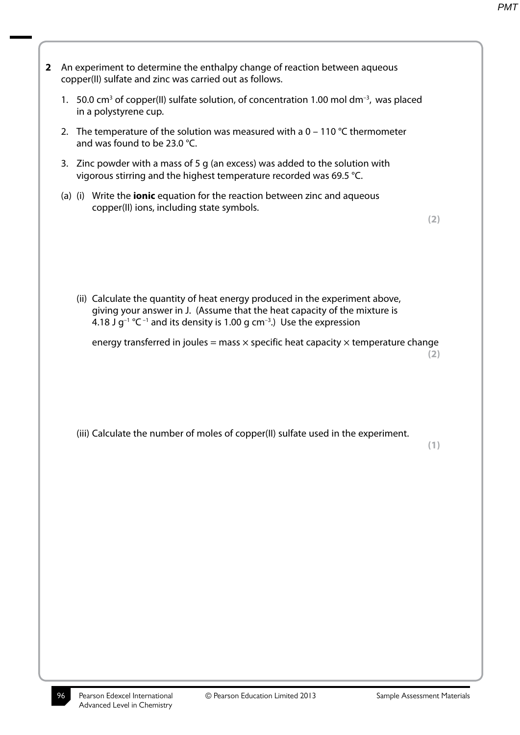**2** An experiment to determine the enthalpy change of reaction between aqueous copper(II) sulfate and zinc was carried out as follows. 1. 50.0 cm<sup>3</sup> of copper(II) sulfate solution, of concentration 1.00 mol dm<sup>-3</sup>, was placed in a polystyrene cup. 2. The temperature of the solution was measured with a  $0 - 110$  °C thermometer and was found to be 23.0 °C. 3. Zinc powder with a mass of 5 g (an excess) was added to the solution with vigorous stirring and the highest temperature recorded was 69.5 °C. (a) (i) Write the **ionic** equation for the reaction between zinc and aqueous copper(II) ions, including state symbols. **(2)** (ii) Calculate the quantity of heat energy produced in the experiment above, giving your answer in J. (Assume that the heat capacity of the mixture is 4.18 J  $q^{-1}$  °C<sup>-1</sup> and its density is 1.00 g cm<sup>-3</sup>.) Use the expression energy transferred in joules = mass  $\times$  specific heat capacity  $\times$  temperature change **(2)** (iii) Calculate the number of moles of copper(II) sulfate used in the experiment. **(1)**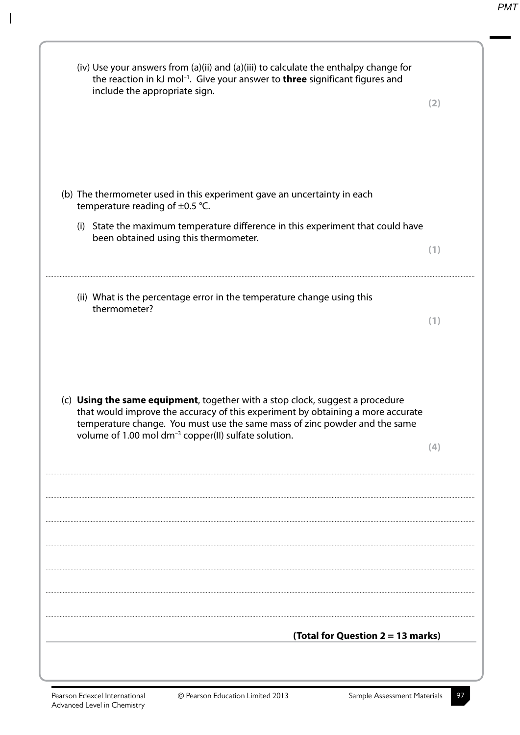| (iv) Use your answers from (a)(ii) and (a)(iii) to calculate the enthalpy change for<br>the reaction in kJ mol <sup>-1</sup> . Give your answer to <b>three</b> significant figures and<br>include the appropriate sign.                                                                                           | (2) |
|--------------------------------------------------------------------------------------------------------------------------------------------------------------------------------------------------------------------------------------------------------------------------------------------------------------------|-----|
| (b) The thermometer used in this experiment gave an uncertainty in each<br>temperature reading of $\pm$ 0.5 °C.<br>(i) State the maximum temperature difference in this experiment that could have<br>been obtained using this thermometer.                                                                        | (1) |
| (ii) What is the percentage error in the temperature change using this<br>thermometer?                                                                                                                                                                                                                             | (1) |
| (c) Using the same equipment, together with a stop clock, suggest a procedure<br>that would improve the accuracy of this experiment by obtaining a more accurate<br>temperature change. You must use the same mass of zinc powder and the same<br>volume of 1.00 mol dm <sup>-3</sup> copper(II) sulfate solution. |     |
| (Total for Question 2 = 13 marks)                                                                                                                                                                                                                                                                                  |     |

 $\overline{\phantom{a}}$ 

!& **5**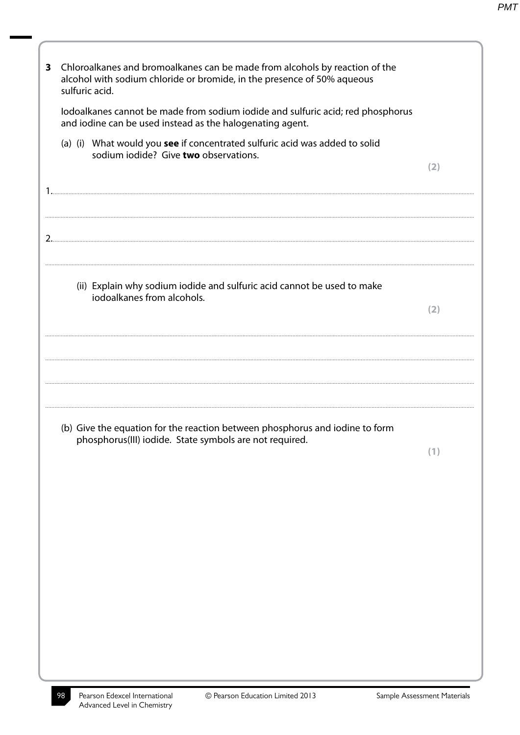| 3  | Chloroalkanes and bromoalkanes can be made from alcohols by reaction of the<br>alcohol with sodium chloride or bromide, in the presence of 50% aqueous<br>sulfuric acid. |                             |
|----|--------------------------------------------------------------------------------------------------------------------------------------------------------------------------|-----------------------------|
|    | lodoalkanes cannot be made from sodium iodide and sulfuric acid; red phosphorus<br>and iodine can be used instead as the halogenating agent.                             |                             |
|    | (a) (i) What would you see if concentrated sulfuric acid was added to solid<br>sodium iodide? Give two observations.                                                     | (2)                         |
| 1. |                                                                                                                                                                          |                             |
|    |                                                                                                                                                                          |                             |
|    |                                                                                                                                                                          |                             |
|    | (ii) Explain why sodium iodide and sulfuric acid cannot be used to make<br>jodoalkanes from alcohols.                                                                    | (2)                         |
|    |                                                                                                                                                                          |                             |
|    |                                                                                                                                                                          |                             |
|    | (b) Give the equation for the reaction between phosphorus and iodine to form<br>phosphorus(III) iodide. State symbols are not required.                                  | (1)                         |
|    |                                                                                                                                                                          |                             |
|    |                                                                                                                                                                          |                             |
|    |                                                                                                                                                                          |                             |
|    |                                                                                                                                                                          |                             |
|    |                                                                                                                                                                          |                             |
|    |                                                                                                                                                                          |                             |
|    | Pearson Edexcel International<br>98<br>© Pearson Education Limited 2013                                                                                                  | Sample Assessment Materials |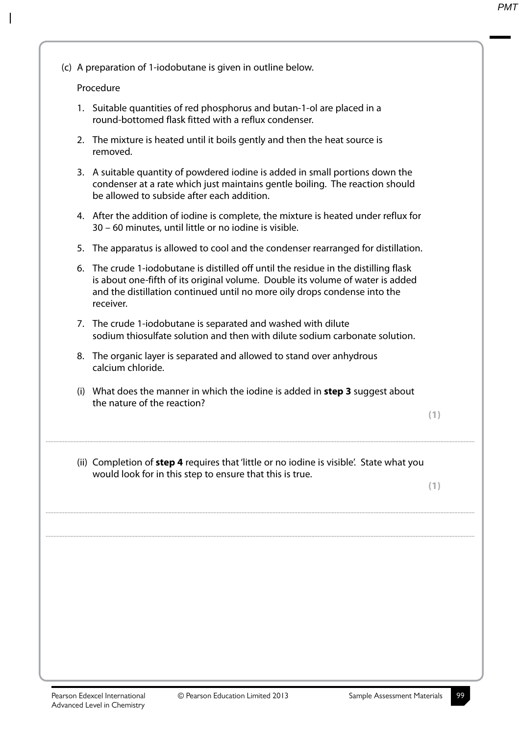(c) A preparation of 1-iodobutane is given in outline below. Procedure 1. Suitable quantities of red phosphorus and butan-1-ol are placed in a round-bottomed flask fitted with a reflux condenser. 2. The mixture is heated until it boils gently and then the heat source is removed. 3. A suitable quantity of powdered iodine is added in small portions down the condenser at a rate which just maintains gentle boiling. The reaction should be allowed to subside after each addition. 4. After the addition of iodine is complete, the mixture is heated under reflux for 30 – 60 minutes, until little or no iodine is visible. 5. The apparatus is allowed to cool and the condenser rearranged for distillation. 6. The crude 1-iodobutane is distilled off until the residue in the distilling flask is about one-fifth of its original volume. Double its volume of water is added and the distillation continued until no more oily drops condense into the receiver. 7. The crude 1-iodobutane is separated and washed with dilute sodium thiosulfate solution and then with dilute sodium carbonate solution. 8. The organic layer is separated and allowed to stand over anhydrous calcium chloride. (i) What does the manner in which the iodine is added in **step 3** suggest about the nature of the reaction? **(1)** .................................................................................................................................................................................................................................................................................... (ii) Completion of **step 4** requires that 'little or no iodine is visible'. State what you would look for in this step to ensure that this is true. **(1)** .................................................................................................................................................................................................................................................................................... ....................................................................................................................................................................................................................................................................................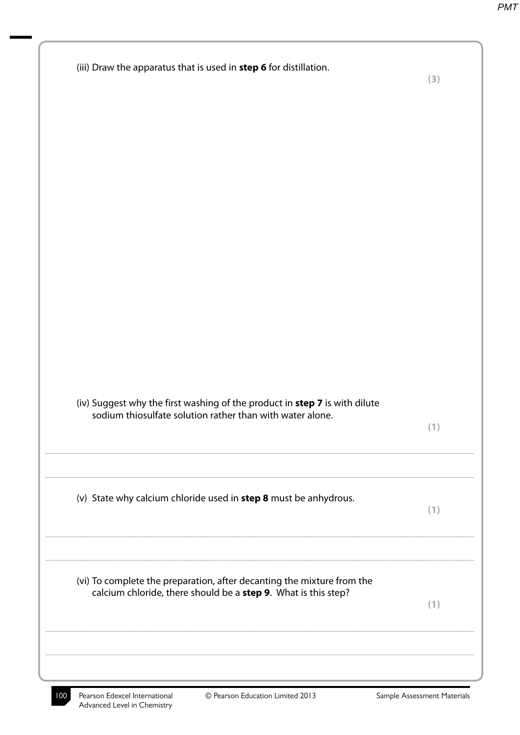| (iii) Draw the apparatus that is used in step 6 for distillation.                                                                        | (3) |
|------------------------------------------------------------------------------------------------------------------------------------------|-----|
|                                                                                                                                          |     |
|                                                                                                                                          |     |
|                                                                                                                                          |     |
|                                                                                                                                          |     |
|                                                                                                                                          |     |
| (iv) Suggest why the first washing of the product in step 7 is with dilute<br>sodium thiosulfate solution rather than with water alone.  | (1) |
| (v) State why calcium chloride used in step 8 must be anhydrous.                                                                         | (1) |
| (vi) To complete the preparation, after decanting the mixture from the<br>calcium chloride, there should be a step 9. What is this step? | (1) |
|                                                                                                                                          |     |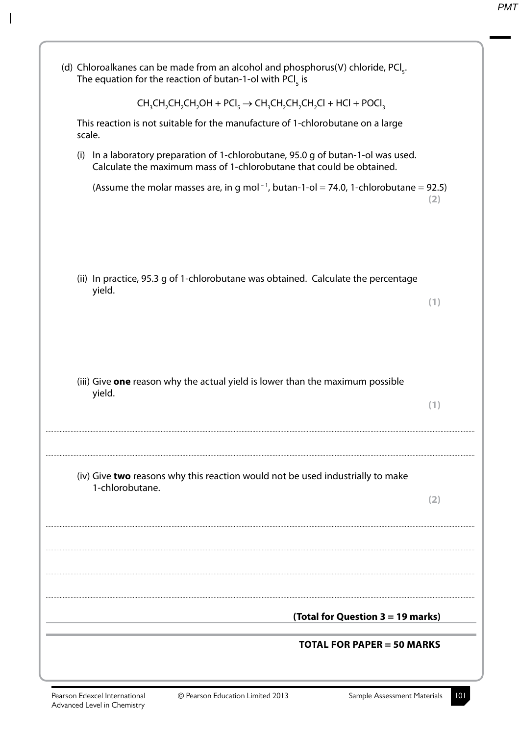| The equation for the reaction of butan-1-ol with PCI $s$ is                                                                                               |     |
|-----------------------------------------------------------------------------------------------------------------------------------------------------------|-----|
| $CH_3CH_2CH_2CH_2OH + PCl_5 \rightarrow CH_3CH_2CH_2CH_2Cl + HCl + POCl_3$                                                                                |     |
| This reaction is not suitable for the manufacture of 1-chlorobutane on a large<br>scale.                                                                  |     |
| (i) In a laboratory preparation of 1-chlorobutane, 95.0 g of butan-1-ol was used.<br>Calculate the maximum mass of 1-chlorobutane that could be obtained. |     |
| (Assume the molar masses are, in g mol <sup>-1</sup> , butan-1-ol = 74.0, 1-chlorobutane = 92.5)                                                          | (2) |
| (ii) In practice, 95.3 g of 1-chlorobutane was obtained. Calculate the percentage<br>yield.                                                               | (1) |
| (iii) Give one reason why the actual yield is lower than the maximum possible<br>yield.                                                                   | (1) |
| (iv) Give two reasons why this reaction would not be used industrially to make<br>1-chlorobutane.                                                         | (2) |
| (Total for Question 3 = 19 marks)                                                                                                                         |     |
| <b>TOTAL FOR PAPER = 50 MARKS</b>                                                                                                                         |     |

 $\overline{\phantom{a}}$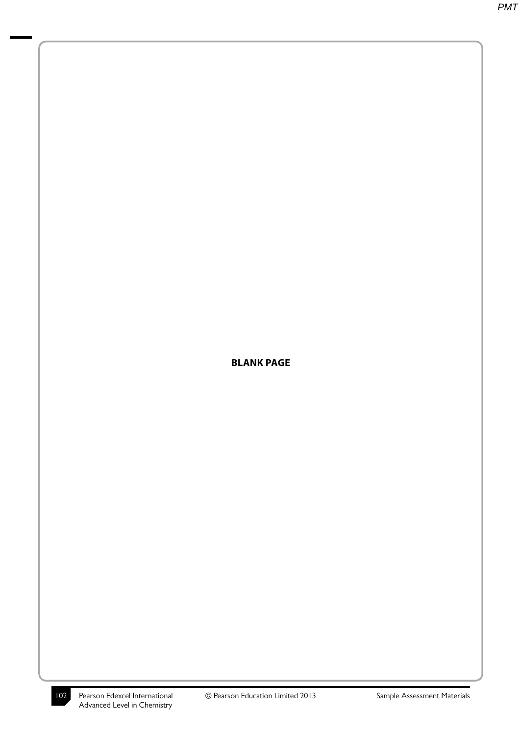## **BLANK PAGE**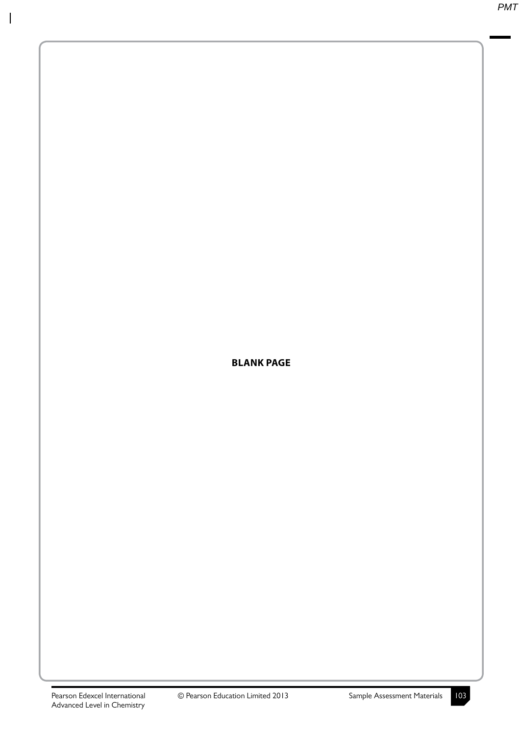## **BLANK PAGE**

 $\overline{\phantom{a}}$